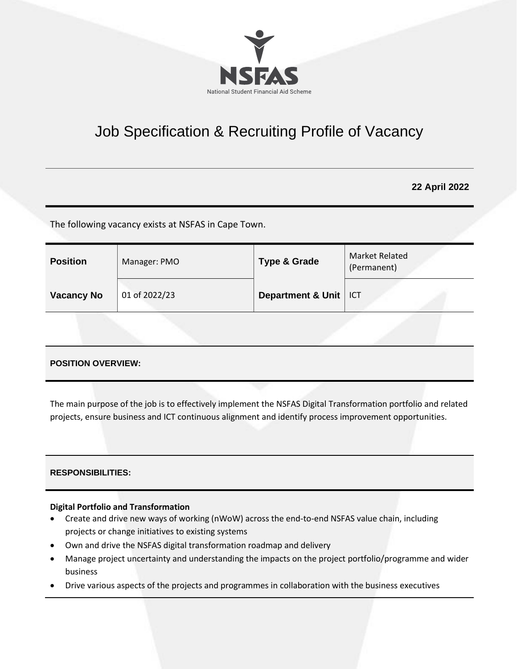

# Job Specification & Recruiting Profile of Vacancy

**22 April 2022**

The following vacancy exists at NSFAS in Cape Town.

| <b>Position</b>   | Manager: PMO  | <b>Type &amp; Grade</b> | Market Related<br>(Permanent) |
|-------------------|---------------|-------------------------|-------------------------------|
| <b>Vacancy No</b> | 01 of 2022/23 | Department & Unit       | ICT                           |
|                   |               |                         |                               |

# **POSITION OVERVIEW:**

The main purpose of the job is to effectively implement the NSFAS Digital Transformation portfolio and related projects, ensure business and ICT continuous alignment and identify process improvement opportunities.

## **RESPONSIBILITIES:**

#### **Digital Portfolio and Transformation**

- Create and drive new ways of working (nWoW) across the end-to-end NSFAS value chain, including projects or change initiatives to existing systems
- Own and drive the NSFAS digital transformation roadmap and delivery
- Manage project uncertainty and understanding the impacts on the project portfolio/programme and wider business
- Drive various aspects of the projects and programmes in collaboration with the business executives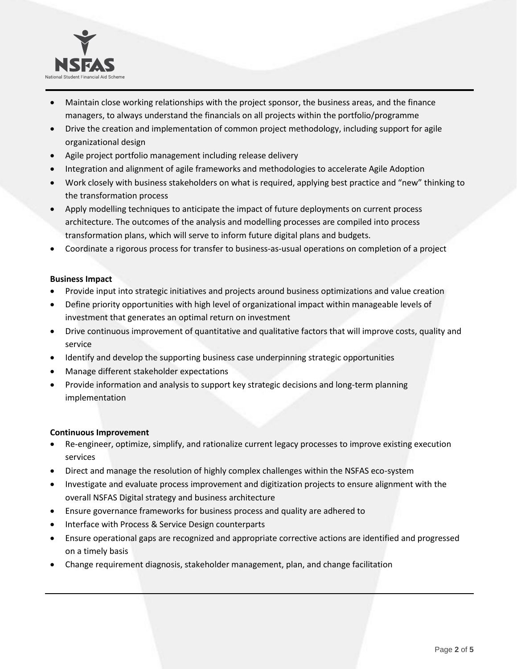

- Maintain close working relationships with the project sponsor, the business areas, and the finance managers, to always understand the financials on all projects within the portfolio/programme
- Drive the creation and implementation of common project methodology, including support for agile organizational design
- Agile project portfolio management including release delivery
- Integration and alignment of agile frameworks and methodologies to accelerate Agile Adoption
- Work closely with business stakeholders on what is required, applying best practice and "new" thinking to the transformation process
- Apply modelling techniques to anticipate the impact of future deployments on current process architecture. The outcomes of the analysis and modelling processes are compiled into process transformation plans, which will serve to inform future digital plans and budgets.
- Coordinate a rigorous process for transfer to business-as-usual operations on completion of a project

## **Business Impact**

- Provide input into strategic initiatives and projects around business optimizations and value creation
- Define priority opportunities with high level of organizational impact within manageable levels of investment that generates an optimal return on investment
- Drive continuous improvement of quantitative and qualitative factors that will improve costs, quality and service
- Identify and develop the supporting business case underpinning strategic opportunities
- Manage different stakeholder expectations
- Provide information and analysis to support key strategic decisions and long-term planning implementation

## **Continuous Improvement**

- Re-engineer, optimize, simplify, and rationalize current legacy processes to improve existing execution services
- Direct and manage the resolution of highly complex challenges within the NSFAS eco-system
- Investigate and evaluate process improvement and digitization projects to ensure alignment with the overall NSFAS Digital strategy and business architecture
- Ensure governance frameworks for business process and quality are adhered to
- Interface with Process & Service Design counterparts
- Ensure operational gaps are recognized and appropriate corrective actions are identified and progressed on a timely basis
- Change requirement diagnosis, stakeholder management, plan, and change facilitation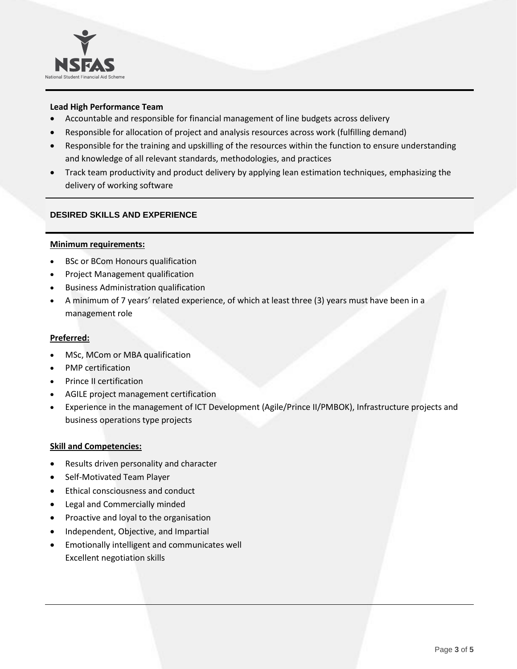

## **Lead High Performance Team**

- Accountable and responsible for financial management of line budgets across delivery
- Responsible for allocation of project and analysis resources across work (fulfilling demand)
- Responsible for the training and upskilling of the resources within the function to ensure understanding and knowledge of all relevant standards, methodologies, and practices
- Track team productivity and product delivery by applying lean estimation techniques, emphasizing the delivery of working software

### **DESIRED SKILLS AND EXPERIENCE**

#### **Minimum requirements:**

- BSc or BCom Honours qualification
- Project Management qualification
- Business Administration qualification
- A minimum of 7 years' related experience, of which at least three (3) years must have been in a management role

#### **Preferred:**

- MSc, MCom or MBA qualification
- PMP certification
- Prince II certification
- AGILE project management certification
- Experience in the management of ICT Development (Agile/Prince II/PMBOK), Infrastructure projects and business operations type projects

#### **Skill and Competencies:**

- Results driven personality and character
- Self-Motivated Team Player
- Ethical consciousness and conduct
- Legal and Commercially minded
- Proactive and loyal to the organisation
- Independent, Objective, and Impartial
- Emotionally intelligent and communicates well Excellent negotiation skills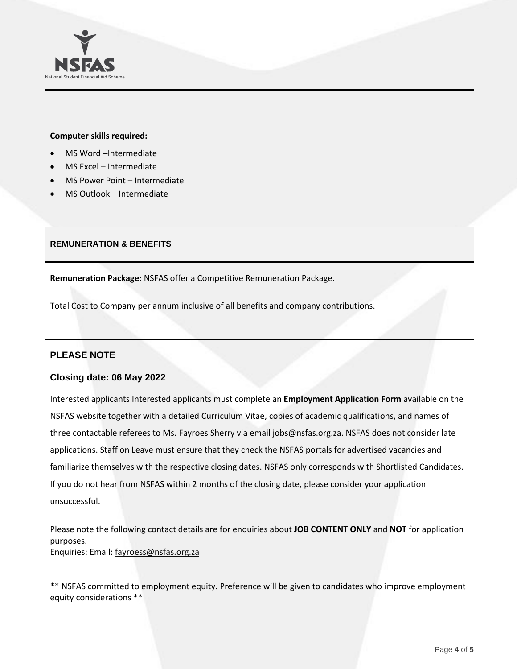

#### **Computer skills required:**

- MS Word –Intermediate
- MS Excel Intermediate
- MS Power Point Intermediate
- MS Outlook Intermediate

### **REMUNERATION & BENEFITS**

**Remuneration Package:** NSFAS offer a Competitive Remuneration Package.

Total Cost to Company per annum inclusive of all benefits and company contributions.

# **PLEASE NOTE**

## **Closing date: 06 May 2022**

Interested applicants Interested applicants must complete an **Employment Application Form** available on the NSFAS website together with a detailed Curriculum Vitae, copies of academic qualifications, and names of three contactable referees to Ms. Fayroes Sherry via emai[l jobs@nsfas.org.za.](mailto:jobs@nsfas.org.za) NSFAS does not consider late applications. Staff on Leave must ensure that they check the NSFAS portals for advertised vacancies and familiarize themselves with the respective closing dates. NSFAS only corresponds with Shortlisted Candidates. If you do not hear from NSFAS within 2 months of the closing date, please consider your application unsuccessful.

Please note the following contact details are for enquiries about **JOB CONTENT ONLY** and **NOT** for application purposes. Enquiries: Email: [fayroess@nsfas.org.za](mailto:fayroess@nsfas.org.za)

\*\* NSFAS committed to employment equity. Preference will be given to candidates who improve employment equity considerations \*\*